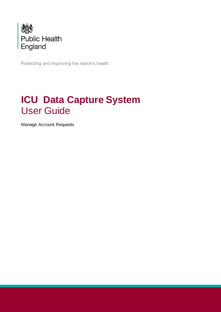

Protecting and improving the nation's health

# **ICU Data Capture System** User Guide

Manage Account Requests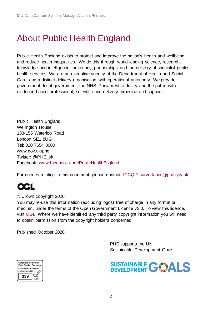# <span id="page-1-0"></span>About Public Health England

Public Health England exists to protect and improve the nation's health and wellbeing, and reduce health inequalities. We do this through world-leading science, research, knowledge and intelligence, advocacy, partnerships and the delivery of specialist public health services. We are an executive agency of the Department of Health and Social Care, and a distinct delivery organisation with operational autonomy. We provide government, local government, the NHS, Parliament, industry and the public with evidence-based professional, scientific and delivery expertise and support.

Public Health England Wellington House 133-155 Waterloo Road London SE1 8UG Tel: 020 7654 8000 [www.gov.uk/phe](http://www.gov.uk/phe) Twitter: [@PHE\\_uk](https://twitter.com/PHE_uk) Facebook: [www.facebook.com/PublicHealthEngland](http://www.facebook.com/PublicHealthEngland)

For queries relating to this document, please contact: [ICCQIP.surveillance@phe.gov.uk](mailto:ICCQIP.surveillance@phe.gov.uk)

### © Crown copyright 2020

You may re-use this information (excluding logos) free of charge in any format or medium, under the terms of the Open Government Licence v3.0. To view this licence, visit [OGL.](https://www.nationalarchives.gov.uk/doc/open-government-licence/version/3/) Where we have identified any third party copyright information you will need to obtain permission from the copyright holders concerned.

Published October 2020

 PHE supports the UN Sustainable Development Goals



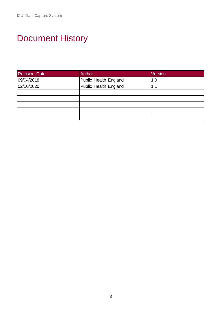# <span id="page-2-0"></span>Document History

| <b>Revision Date</b> | Author                | Version |
|----------------------|-----------------------|---------|
| 09/04/2018           | Public Health England | 1.0     |
| 02/10/2020           | Public Health England | 1.1     |
|                      |                       |         |
|                      |                       |         |
|                      |                       |         |
|                      |                       |         |
|                      |                       |         |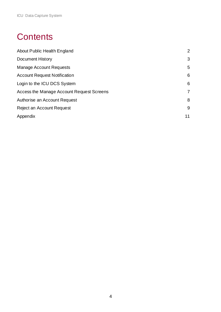# **Contents**

| About Public Health England               | 2              |
|-------------------------------------------|----------------|
| <b>Document History</b>                   | 3              |
| <b>Manage Account Requests</b>            | 5              |
| <b>Account Request Notification</b>       | 6              |
| Login to the ICU DCS System               | 6              |
| Access the Manage Account Request Screens | $\overline{7}$ |
| Authorise an Account Request              | 8              |
| Reject an Account Request                 | 9              |
| Appendix                                  | 11             |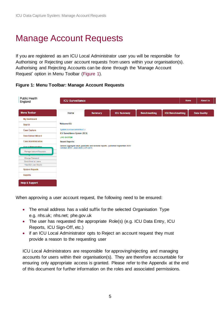# <span id="page-4-0"></span>Manage Account Requests

If you are registered as am ICU Local Administrator user you will be responsible for Authorising or Rejecting user account requests from users within your organisation(s). Authorising and Rejecting Accounts can be done through the 'Manage Account Request' option in Menu Toolbar [\(Figure 1\)](#page-4-2).

<span id="page-4-2"></span>

| <b>Public Health</b><br>England | <b>ICU Surveillance</b>                                                                                                   |                |                    |                     |                         | <b>About Us</b><br>Home |
|---------------------------------|---------------------------------------------------------------------------------------------------------------------------|----------------|--------------------|---------------------|-------------------------|-------------------------|
| <b>Menu Toolbar</b>             | Home                                                                                                                      | <b>Summary</b> | <b>ICU Summary</b> | <b>Benchmarking</b> | <b>ICU Benchmarking</b> | <b>Data Quality</b>     |
| <b>My Dashboard</b>             |                                                                                                                           |                |                    |                     |                         |                         |
|                                 |                                                                                                                           |                |                    |                     |                         |                         |
| Search                          | Welcome-ICU                                                                                                               |                |                    |                     |                         |                         |
| <b>Case Capture</b>             | <b>System Announcements-ICU</b>                                                                                           |                |                    |                     |                         |                         |
| Data Upload Wizard              | <b>ICU Surveillance System (DCS)</b><br><b>LIVE SYSTEM</b>                                                                |                |                    |                     |                         |                         |
| <b>Case Administration</b>      | <b>Recent Reports:</b>                                                                                                    |                |                    |                     |                         |                         |
| <b>Hear Administration</b>      | Generic Aggregate adult, paediatric and neonatal reports - published September 2020<br>October 2018 - June 2020 (Q11-Q17) |                |                    |                     |                         |                         |
| Manage Account Requests         |                                                                                                                           |                |                    |                     |                         |                         |
|                                 |                                                                                                                           |                |                    |                     |                         |                         |
| Change Password                 |                                                                                                                           |                |                    |                     |                         |                         |
| Send Email to Users             |                                                                                                                           |                |                    |                     |                         |                         |
| View/Edit User Details          |                                                                                                                           |                |                    |                     |                         |                         |
| <b>System Reports</b>           |                                                                                                                           |                |                    |                     |                         |                         |
| <b>Reports</b>                  |                                                                                                                           |                |                    |                     |                         |                         |
| <b>Help &amp; Support</b>       |                                                                                                                           |                |                    |                     |                         |                         |

When approving a user account request, the following need to be ensured:

- The email address has a valid suffix for the selected Organisation Type e.g. nhs.uk; nhs.net; phe.gov.uk
- The user has requested the appropriate Role(s) (e.g. ICU Data Entry, ICU Reports, ICU Sign-Off, etc.)
- if an ICU Local Administrator opts to Reject an account request they must provide a reason to the requesting user

<span id="page-4-1"></span>ICU Local Administrators are responsible for approving/rejecting and managing accounts for users within their organisation(s). They are therefore accountable for ensuring only appropriate access is granted. Please refer to the Appendix at the end of this document for further information on the roles and associated permissions.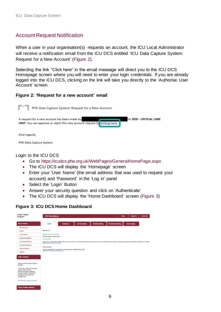# Account Request Notification

When a user in your organisation(s) requests an account, the ICU Local Administrator will receive a notification email from the ICU DCS entitled 'ICU Data Capture System: Request for a New Account' [\(Figure](#page-5-1) 2).

Selecting the link "Click here" in the email message will direct you to the ICU DCS Homepage screen where you will need to enter your login credentials. If you are already logged into the ICU DCS, clicking on the link will take you directly to the 'Authorise User Account' screen.

### <span id="page-5-1"></span>**Figure 2: 'Request for a new account' email**



#### <span id="page-5-0"></span>Login to the ICU DCS

- Go to <https://icudcs.phe.org.uk/WebPages/GeneralHomePage.aspx>
- The ICU DCS will display the 'Homepage' screen
- Enter your 'User Name' (the email address that was used to request your account) and 'Password' in the 'Log in' panel
- Select the 'Login' Button
- Answer your security question and click on 'Authenticate'
- The ICU DCS will display the 'Home Dashboard' screen [\(Figure 3\)](#page-5-2)

### <span id="page-5-2"></span>**Figure 3: ICU DCS Home Dashboard**

| <b>Public Health</b><br>England                                                                                                                      | <b>ICU Surveillance</b>                                                                                   |                |                                                                                                                                                                                                                |                     |                         | <b>About Us</b><br>Home | <b>Contact Us</b> |
|------------------------------------------------------------------------------------------------------------------------------------------------------|-----------------------------------------------------------------------------------------------------------|----------------|----------------------------------------------------------------------------------------------------------------------------------------------------------------------------------------------------------------|---------------------|-------------------------|-------------------------|-------------------|
| <b>Menu Toolbar</b>                                                                                                                                  | Home                                                                                                      | <b>Summary</b> | <b>ICU Summary</b>                                                                                                                                                                                             | <b>Benchmarking</b> | <b>ICU Benchmarking</b> | <b>Data Quality</b>     |                   |
| My Dashboard                                                                                                                                         |                                                                                                           |                |                                                                                                                                                                                                                |                     |                         |                         |                   |
| Search                                                                                                                                               | Welcome-ICU                                                                                               |                |                                                                                                                                                                                                                |                     |                         |                         |                   |
| <b>Case Capture</b>                                                                                                                                  | <b>System Announcements-ICU</b>                                                                           |                |                                                                                                                                                                                                                |                     |                         |                         |                   |
| <b>Data Upload Wizard</b>                                                                                                                            | <b>ICU Surveillance System (DCS)</b><br><b>LIVE SYSTEM</b>                                                |                |                                                                                                                                                                                                                |                     |                         |                         |                   |
| <b>Case Administration</b>                                                                                                                           | via the Deleting Cache User Guide                                                                         |                | Please note: Following the updates to the ICU DCS, please may we request that users experiencing any issues firstly delete their cache before contacting the support team. Detailed instructions are available |                     |                         |                         |                   |
| <b>User Administration</b>                                                                                                                           |                                                                                                           |                |                                                                                                                                                                                                                |                     |                         |                         |                   |
| <b>System Reports</b>                                                                                                                                | <b>Recent Reports:</b><br>Generic Aggregate adult, paediatric and neonatal reports - published March 2020 |                |                                                                                                                                                                                                                |                     |                         |                         |                   |
| <b>Reports</b>                                                                                                                                       | April 2018 - December 2019 ( Q9-Q15)                                                                      |                |                                                                                                                                                                                                                |                     |                         |                         |                   |
| <b>Help &amp; Support</b>                                                                                                                            |                                                                                                           |                |                                                                                                                                                                                                                |                     |                         |                         |                   |
| Welcome to the Data Capture<br>System                                                                                                                |                                                                                                           |                |                                                                                                                                                                                                                |                     |                         |                         |                   |
| This is the system homepage<br>where PHE will post<br>announcements regarding<br>system updates, downtime,<br>surveillance programme<br>changes etc. |                                                                                                           |                |                                                                                                                                                                                                                |                     |                         |                         |                   |
| See FAQs and Content for more info                                                                                                                   |                                                                                                           |                |                                                                                                                                                                                                                |                     |                         |                         |                   |
| <b>Key to Screen Symbols</b>                                                                                                                         |                                                                                                           |                |                                                                                                                                                                                                                |                     |                         |                         |                   |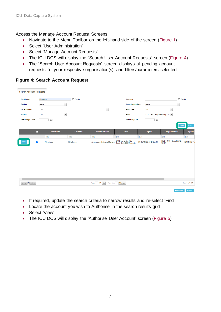### <span id="page-6-0"></span>Access the Manage Account Request Screens

- Navigate to the Menu Toolbar on the left-hand side of the screen [\(Figure 1\)](#page-4-2)
- Select 'User Administration'
- Select 'Manage Account Requests'
- The ICU DCS will display the "Search User Account Requests" screen [\(Figure 4\)](#page-6-1)
- The "Search User Account Requests" screen displays all pending account requests for your respective organisation(s) and filters/parameters selected

### <span id="page-6-1"></span>**Figure 4: Search Account Request**

| <b>Search Account Requests</b> |                                                                                                                                                                                                                                                                                                                                                                                                                                                                                                                                                                          |                          |                |                           |                     |                                               |                                   |                                    |                      |
|--------------------------------|--------------------------------------------------------------------------------------------------------------------------------------------------------------------------------------------------------------------------------------------------------------------------------------------------------------------------------------------------------------------------------------------------------------------------------------------------------------------------------------------------------------------------------------------------------------------------|--------------------------|----------------|---------------------------|---------------------|-----------------------------------------------|-----------------------------------|------------------------------------|----------------------|
| <b>First Name</b>              | Miroslava                                                                                                                                                                                                                                                                                                                                                                                                                                                                                                                                                                |                          | $\Box$ Partial |                           |                     | Surname                                       |                                   |                                    | $\Box$ Partial       |
| <b>Region</b>                  | $-A  -$                                                                                                                                                                                                                                                                                                                                                                                                                                                                                                                                                                  | $\blacktriangledown$     |                |                           |                     | <b>Organisation Type</b>                      | $-A  -$                           | $\overline{\phantom{a}}$           |                      |
| Organisation                   | $\left. \cdot \cdot \right. \left. \left. \right. \left. \left. \right. \right\vert \left. \left. \right. \right. \left. \left. \right. \left. \right. \left. \left. \right. \right. \left. \left. \right. \left. \left. \right. \right. \left. \left. \right. \right. \left. \left. \right. \left. \right. \left. \left. \right. \right. \left. \left. \right. \right. \left. \left. \right. \left. \right. \left. \left. \right. \right. \left. \left. \right. \right. \left. \left. \right. \right. \left. \left. \right. \left. \left. \right. \right. \left. \left$ |                          |                | $\overline{\phantom{a}}$  |                     | <b>Authorised</b>                             | No                                | $\overline{\phantom{a}}$           |                      |
| <b>Verified</b>                | $-A  -$                                                                                                                                                                                                                                                                                                                                                                                                                                                                                                                                                                  | $\overline{\phantom{a}}$ |                |                           |                     | Role                                          | CCG Data Entry, Data Entry, ICU ▼ |                                    |                      |
| Date Range From                | 画                                                                                                                                                                                                                                                                                                                                                                                                                                                                                                                                                                        |                          |                |                           |                     | Date Range To                                 | $\overline{\boxplus}$             |                                    |                      |
|                                |                                                                                                                                                                                                                                                                                                                                                                                                                                                                                                                                                                          |                          |                |                           |                     |                                               |                                   |                                    | <b>Reset</b><br>Find |
| п                              |                                                                                                                                                                                                                                                                                                                                                                                                                                                                                                                                                                          | <b>First Name</b>        | <b>Surname</b> | <b>Email Address</b>      |                     | Role                                          | Region                            | Organisation                       | Organisa             |
|                                | (AII)                                                                                                                                                                                                                                                                                                                                                                                                                                                                                                                                                                    |                          | (AII)          | (AII)                     | (AII)               |                                               | (AII)                             | (AII)                              | (AII)                |
| $\checkmark$                   | Miroslava                                                                                                                                                                                                                                                                                                                                                                                                                                                                                                                                                                |                          | Mihalkova      | miroslava.mihalkova@phe.g |                     | ICU Data Entry, ICU<br>Read Only, ICU Reports | <b>MIDLANDS AND EAST</b>          | RDD - CRITICAL CARE<br><b>UNIT</b> | <b>ICU NHS Tn</b>    |
|                                |                                                                                                                                                                                                                                                                                                                                                                                                                                                                                                                                                                          |                          |                |                           |                     |                                               |                                   |                                    |                      |
|                                |                                                                                                                                                                                                                                                                                                                                                                                                                                                                                                                                                                          |                          |                |                           |                     |                                               |                                   |                                    |                      |
|                                |                                                                                                                                                                                                                                                                                                                                                                                                                                                                                                                                                                          |                          |                |                           |                     |                                               |                                   |                                    |                      |
|                                |                                                                                                                                                                                                                                                                                                                                                                                                                                                                                                                                                                          |                          |                |                           |                     |                                               |                                   |                                    |                      |
|                                |                                                                                                                                                                                                                                                                                                                                                                                                                                                                                                                                                                          |                          |                |                           |                     |                                               |                                   |                                    |                      |
|                                |                                                                                                                                                                                                                                                                                                                                                                                                                                                                                                                                                                          |                          |                |                           |                     |                                               |                                   |                                    |                      |
|                                |                                                                                                                                                                                                                                                                                                                                                                                                                                                                                                                                                                          |                          |                |                           |                     |                                               |                                   |                                    | $\,$                 |
|                                |                                                                                                                                                                                                                                                                                                                                                                                                                                                                                                                                                                          |                          |                | Page: 1 of 1 Go           | Page size: 1 Change |                                               |                                   |                                    | Item 1 to 1 of 1     |
|                                |                                                                                                                                                                                                                                                                                                                                                                                                                                                                                                                                                                          |                          |                |                           |                     |                                               |                                   | <b>Authorise</b>                   | <b>Reject</b>        |

- If required, update the search criteria to narrow results and re-select 'Find'
- Locate the account you wish to Authorise in the search results grid
- Select 'View'
- The ICU DCS will display the 'Authorise User Account' screen [\(Figure 5\)](#page-7-1)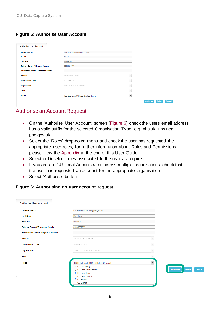## <span id="page-7-1"></span>**Figure 5: Authorise User Account**

| <b>Authorise User Account</b>             |                                            |                          |                                             |
|-------------------------------------------|--------------------------------------------|--------------------------|---------------------------------------------|
| <b>Email Address</b>                      | miroslava.mihalkova@phe.gov.uk             |                          |                                             |
| <b>First Name</b>                         | Miroslava                                  |                          |                                             |
| <b>Surname</b>                            | Mihalkova                                  |                          |                                             |
| <b>Primary Contact Telephone Number</b>   | 02083207677                                |                          |                                             |
| <b>Secondary Contact Telephone Number</b> |                                            |                          |                                             |
| Region                                    | MIDLANDS AND EAST                          | live.                    |                                             |
| <b>Organisation Type</b>                  | ICU NHS Trust                              | Im.                      |                                             |
| Organisation                              | RDD - CRITICAL CARE UNIT                   | live.                    |                                             |
| <b>Sites</b>                              |                                            | <b>I</b>                 |                                             |
| <b>Roles</b>                              | ICU Data Entry, ICU Read Only, ICU Reports | $\overline{\phantom{a}}$ |                                             |
|                                           |                                            |                          | <b>Authorise</b><br><b>Reject</b><br>Cancel |

# <span id="page-7-0"></span>Authorise an Account Request

- On the 'Authorise User Account' screen [\(Figure 6\)](#page-7-2) check the users email address has a valid suffix for the selected Organisation Type, e.g. nhs.uk; nhs.net; phe.gov.uk
- Select the 'Roles' drop-down menu and check the user has requested the appropriate user roles, for further information about Roles and Permissions please view the [Appendix](#page-10-0) at the end of this User Guide
- Select or Deselect roles associated to the user as required
- If you are an ICU Local Administrator across multiple organisations check that the user has requested an account for the appropriate organisation
- Select 'Authorise' button

### <span id="page-7-2"></span>**Figure 6: Authorising an user account request**

| <b>Authorise User Account</b>             |                                                                                                                                                        |                                       |                         |
|-------------------------------------------|--------------------------------------------------------------------------------------------------------------------------------------------------------|---------------------------------------|-------------------------|
|                                           |                                                                                                                                                        |                                       |                         |
| <b>Email Address</b>                      | miroslava.mihalkova@phe.gov.uk                                                                                                                         |                                       |                         |
| <b>First Name</b>                         | Miroslava                                                                                                                                              |                                       |                         |
| Surname                                   | Mihalkova                                                                                                                                              |                                       |                         |
| <b>Primary Contact Telephone Number</b>   | 02083207677                                                                                                                                            |                                       |                         |
| <b>Secondary Contact Telephone Number</b> |                                                                                                                                                        |                                       |                         |
| Region                                    | MIDLANDS AND EAST                                                                                                                                      |                                       |                         |
| <b>Organisation Type</b>                  | <b>ICU NHS Trust</b>                                                                                                                                   |                                       |                         |
| Organisation                              | RDD - CRITICAL CARE UNIT                                                                                                                               |                                       |                         |
| <b>Sites</b>                              |                                                                                                                                                        |                                       |                         |
| <b>Roles</b>                              | ICU Data Entry, ICU Read Only, ICU Reports<br>CU Data Entry<br>□ ICU Local Administrator<br>V ICU Read Only<br>□ ICU Read Only No PII<br>V ICU Reports | $\overline{\phantom{a}}$<br>Authorise | <b>Reject</b><br>Cancel |
|                                           | □ICU Signoff                                                                                                                                           |                                       |                         |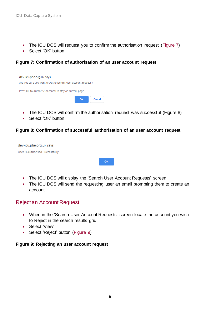- The ICU DCS will request you to confirm the authorisation request [\(Figure 7\)](#page-8-1)
- Select 'OK' button

#### <span id="page-8-1"></span>**Figure 7: Confirmation of authorisation of an user account request**



- The ICU DCS will confirm the authorisation request was successful (Figure 8)
- Select 'OK' button

#### **Figure 8: Confirmation of successful authorisation of an user account request**

dev-icu.phe.org.uk says User is Authorised Successfully

- The ICU DCS will display the 'Search User Account Requests' screen
- The ICU DCS will send the requesting user an email prompting them to create an account

**OK** 

# <span id="page-8-0"></span>Reject an Account Request

- When in the 'Search User Account Requests' screen locate the account you wish to Reject in the search results grid
- Select 'View'
- Select 'Reject' button [\(Figure 9\)](#page-8-2)

### <span id="page-8-2"></span>**Figure 9: Rejecting an user account request**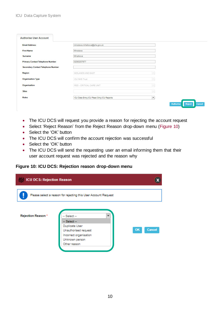| <b>Authorise User Account</b>             |                                            |                                      |
|-------------------------------------------|--------------------------------------------|--------------------------------------|
| <b>Email Address</b>                      | miroslava.mihalkova@phe.gov.uk             |                                      |
| <b>First Name</b>                         | Miroslava                                  |                                      |
| Surname                                   | Mihalkova                                  |                                      |
| <b>Primary Contact Telephone Number</b>   | 02083207677                                |                                      |
| <b>Secondary Contact Telephone Number</b> |                                            |                                      |
| Region                                    | MIDLANDS AND EAST                          |                                      |
| <b>Organisation Type</b>                  | <b>ICU NHS Trust</b><br>$\sim$             |                                      |
| Organisation                              | RDD - CRITICAL CARE UNIT<br>$\sim$         |                                      |
| <b>Sites</b>                              | $\sim$                                     |                                      |
| <b>Roles</b>                              | ICU Data Entry, ICU Read Only, ICU Reports |                                      |
|                                           |                                            | Authorise<br><b>Reject</b><br>Cancel |

- The ICU DCS will request you provide a reason for rejecting the account request
- Select 'Reject Reason' from the Reject Reason drop-down menu [\(Figure 10\)](#page-9-0)
- Select the 'OK' button
- The ICU DCS will confirm the account rejection was successful
- Select the 'OK' button
- The ICU DCS will send the requesting user an email informing them that their user account request was rejected and the reason why

### <span id="page-9-0"></span>**Figure 10: ICU DCS: Rejection reason drop-down menu**

| <b>ICU DCS: Rejection Reason</b> |                                                                                                    |              |
|----------------------------------|----------------------------------------------------------------------------------------------------|--------------|
|                                  | Please select a reason for rejecting this User Account Request                                     |              |
| Rejection Reason *               | $-$ Select $-$<br>$-$ Select $-$                                                                   |              |
|                                  | Duplicate User<br>Unauthorised request<br>Incorrect organisation<br>Unknown person<br>Other reason | OK<br>Cancel |
|                                  |                                                                                                    |              |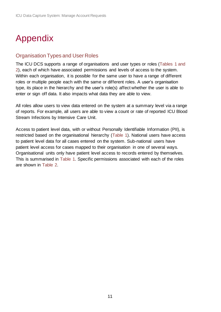# <span id="page-10-0"></span>Appendix

# Organisation Types and User Roles

The ICU DCS supports a range of organisations and user types or roles (Tables 1 and 2), each of which have associated permissions and levels of access to the system. Within each organisation, it is possible for the same user to have a range of different roles or multiple people each with the same or different roles. A user's organisation type, its place in the hierarchy and the user's role(s) affect whether the user is able to enter or sign off data. It also impacts what data they are able to view.

All roles allow users to view data entered on the system at a summary level via a range of reports. For example, all users are able to view a count or rate of reported ICU Blood Stream Infections by Intensive Care Unit.

Access to patient level data, with or without Personally Identifiable Information (PII), is restricted based on the organisational hierarchy (Table 1). National users have access to patient level data for all cases entered on the system. Sub-national users have patient level access for cases mapped to their organisation in one of several ways. Organisational units only have patient level access to records entered by themselves. This is summarised in Table 1. Specific permissions associated with each of the roles are shown in Table 2.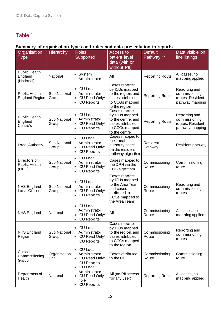# Table 1

# **Summary of organisation types and roles and data presentation in reports**

| Organisation<br>Type                          | <b>Hierarchy</b>      | <b>Roles</b><br>Supported                                                            | <b>Access to</b><br>patient level<br>data (with or<br>without PII)                                                     | <b>Default</b><br>Pathway <sup>**</sup> | Data visible on<br>line listings                                      |
|-----------------------------------------------|-----------------------|--------------------------------------------------------------------------------------|------------------------------------------------------------------------------------------------------------------------|-----------------------------------------|-----------------------------------------------------------------------|
| <b>Public Health</b><br>England<br>(National) | National              | • System<br>Administrator                                                            | All                                                                                                                    | <b>Reporting Route</b>                  | All cases, no<br>mapping applied                                      |
| <b>Public Health</b><br><b>England Region</b> | Sub National<br>Group | • ICU Local<br>Administrator<br>• ICU Read Only*<br>• ICU Reports                    | Cases reported<br>by ICUs mapped<br>to the region, and<br>cases attributed<br>to CCGs mapped<br>to the region          | <b>Reporting Route</b>                  | Reporting and<br>commissioning<br>routes. Resident<br>pathway mapping |
| <b>Public Health</b><br>England<br>Centre's   | Sub National<br>Group | • ICU Local<br>Administrator<br>• ICU Read Only*<br><b>ICU Reports</b>               | Cases reported<br>by ICUs mapped<br>to the centre, and<br>cases attributed<br>to CCGs mapped<br>to the centre          | <b>Reporting Route</b>                  | Reporting and<br>commissioning<br>routes. Resident<br>pathway mapping |
| <b>Local Authority</b>                        | Sub National<br>Group | • ICU Local<br>Administrator<br>• ICU Read Only*<br><b>ICU Reports</b>               | Cases mapped to<br>the Local<br>authority based<br>on the resident<br>pathway algorithm                                | Resident<br>Pathway                     | Resident pathway                                                      |
| Directors of<br><b>Public Health</b><br>(DPH) | Sub National<br>Group | • ICU Local<br>Administrator<br>• ICU Read Only*<br><b>ICU Reports</b>               | Cases mapped to<br>the DPH via the<br>CCG algorithm                                                                    | Commissioning<br>Route                  | Commissioning<br>route                                                |
| <b>NHS England</b><br><b>Local Offices</b>    | Sub National<br>Group | • ICU Local<br>Administrator<br>• ICU Read Only*<br><b>ICU Reports</b><br>$\bullet$  | Cases reported<br>by ICUs mapped<br>to the Area Team,<br>and cases<br>attributed to<br>CCGs mapped to<br>the Area Team | Commissioning<br>Route                  | Reporting and<br>commissioning<br>routes                              |
| <b>NHS England</b>                            | National              | • ICU Local<br>Administrator<br><b>ICU Read Only*</b><br>$\bullet$<br>• ICU Reports  | All                                                                                                                    | Commissioning<br>Route                  | All cases, no<br>mapping applied                                      |
| <b>NHS England</b><br>Region                  | Sub National<br>Group | • ICU Local<br>Administrator<br>• ICU Read Only*<br><b>ICU Reports</b>               | Cases reported<br>by ICUs mapped<br>to the region, and<br>cases attributed<br>to CCGs mapped<br>to the region          | Commissioning<br>Route                  | Reporting and<br>commissioning<br>routes                              |
| Clinical<br>Commissioning<br>Group            | Organisation<br>Unit  | • ICU Local<br>Administrator<br>• ICU Read Only*<br><b>ICU Reports</b>               | Cases attributed<br>to the CCG                                                                                         | Commissioning<br>Route                  | Commissioning<br>route                                                |
| Department of<br>Health                       | National              | • ICU Local<br>Administrator<br><b>ICU Read Only</b><br>no PII<br><b>ICU Reports</b> | All (no PII access<br>for any user)                                                                                    | <b>Reporting Route</b>                  | All cases, no<br>mapping applied                                      |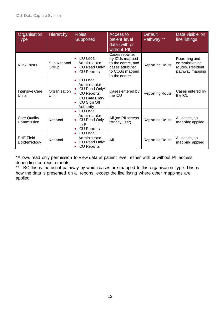| Organisation<br><b>Type</b>      | <b>Hierarchy</b>      | <b>Roles</b><br>Supported                                                                                                                                    | Access to<br>patient level<br>data (with or<br>without PII)                                                   | <b>Default</b><br>Pathway <sup>**</sup> | Data visible on<br>line listings                                      |
|----------------------------------|-----------------------|--------------------------------------------------------------------------------------------------------------------------------------------------------------|---------------------------------------------------------------------------------------------------------------|-----------------------------------------|-----------------------------------------------------------------------|
| <b>NHS Trusts</b>                | Sub National<br>Group | <b>ICU Local</b><br>Administrator<br><b>ICU Read Only*</b><br><b>ICU Reports</b>                                                                             | Cases reported<br>by ICUs mapped<br>to the centre, and<br>cases attributed<br>to CCGs mapped<br>to the centre | <b>Reporting Route</b>                  | Reporting and<br>commissioning<br>routes. Resident<br>pathway mapping |
| <b>Intensive Care</b><br>Units   | Organisation<br>Unit  | <b>ICU Local</b><br>Administrator<br>• ICU Read Only*<br><b>ICU Reports</b><br>$\bullet$<br><b>ICU Data Entry</b><br><b>ICU Sign Off</b><br><b>Authority</b> | Cases entered by<br>the ICU                                                                                   | <b>Reporting Route</b>                  | Cases entered by<br>the ICU                                           |
| Care Quality<br>Commission       | National              | <b>ICU Local</b><br>Administrator<br><b>ICU Read Only</b><br>$\bullet$<br>no PII<br><b>ICU Reports</b>                                                       | All (no PII access<br>for any user)                                                                           | <b>Reporting Route</b>                  | All cases, no<br>mapping applied                                      |
| <b>PHE Field</b><br>Epidemiology | National              | <b>ICU</b> Local<br>٠<br>Administrator<br><b>ICU Read Only*</b><br><b>ICU Reports</b>                                                                        | All                                                                                                           | <b>Reporting Route</b>                  | All cases, no<br>mapping applied                                      |

\*Allows read only permission to view data at patient level, either with or without PII access, depending on requirements

\*\* TBC this is the usual pathway by which cases are mapped to this organisation type. This is how the data is presented on all reports, except the line listing where other mappings are applied